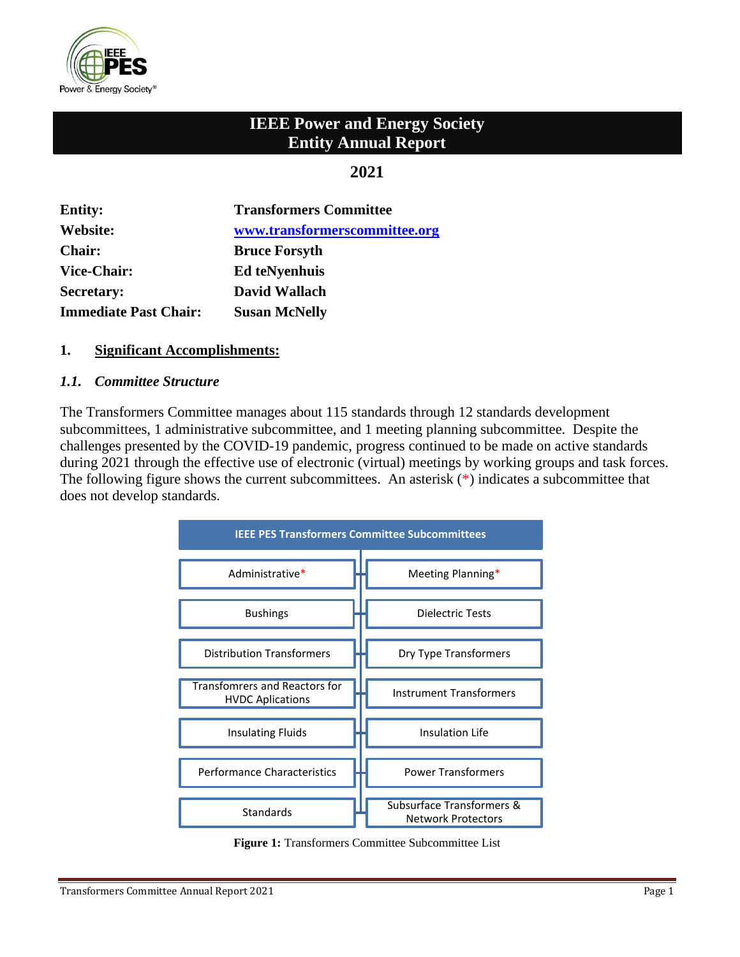

# **IEEE Power and Energy Society Entity Annual Report**

# **2021**

| <b>Entity:</b>               | <b>Transformers Committee</b> |
|------------------------------|-------------------------------|
| Website:                     | www.transformerscommittee.org |
| <b>Chair:</b>                | <b>Bruce Forsyth</b>          |
| <b>Vice-Chair:</b>           | <b>Ed teNyenhuis</b>          |
| <b>Secretary:</b>            | David Wallach                 |
| <b>Immediate Past Chair:</b> | <b>Susan McNelly</b>          |

### **1. Significant Accomplishments:**

### *1.1. Committee Structure*

The Transformers Committee manages about 115 standards through 12 standards development subcommittees, 1 administrative subcommittee, and 1 meeting planning subcommittee. Despite the challenges presented by the COVID-19 pandemic, progress continued to be made on active standards during 2021 through the effective use of electronic (virtual) meetings by working groups and task forces. The following figure shows the current subcommittees. An asterisk  $(*)$  indicates a subcommittee that does not develop standards.



**Figure 1:** Transformers Committee Subcommittee List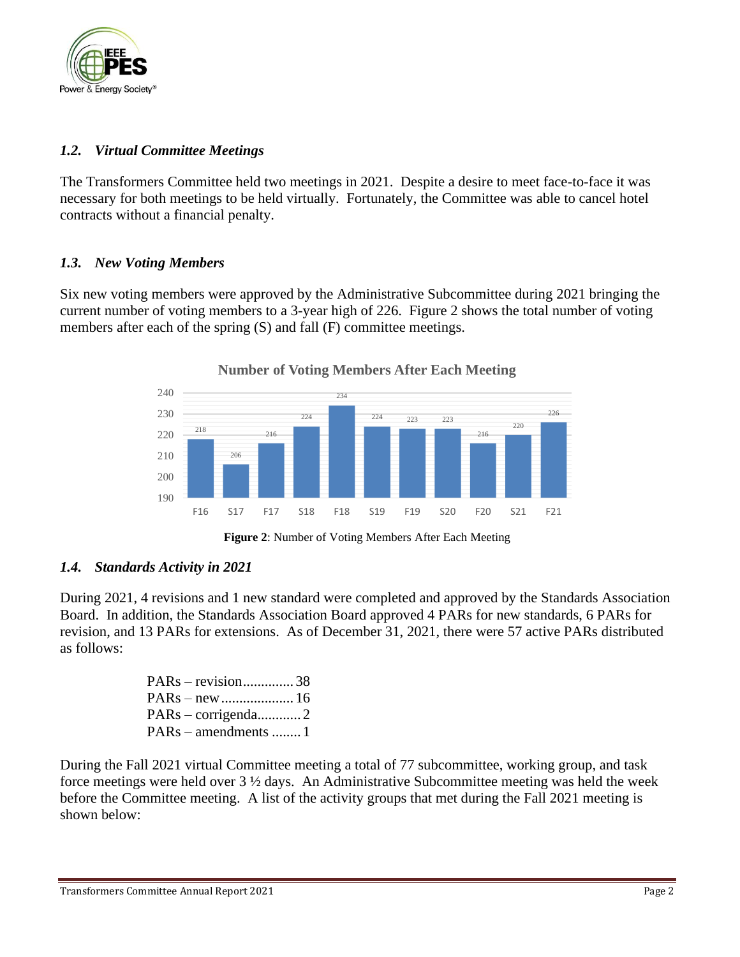

# *1.2. Virtual Committee Meetings*

The Transformers Committee held two meetings in 2021. Despite a desire to meet face-to-face it was necessary for both meetings to be held virtually. Fortunately, the Committee was able to cancel hotel contracts without a financial penalty.

# *1.3. New Voting Members*

Six new voting members were approved by the Administrative Subcommittee during 2021 bringing the current number of voting members to a 3-year high of 226. Figure 2 shows the total number of voting members after each of the spring (S) and fall (F) committee meetings.



### **Number of Voting Members After Each Meeting**

**Figure 2**: Number of Voting Members After Each Meeting

# *1.4. Standards Activity in 2021*

During 2021, 4 revisions and 1 new standard were completed and approved by the Standards Association Board. In addition, the Standards Association Board approved 4 PARs for new standards, 6 PARs for revision, and 13 PARs for extensions. As of December 31, 2021, there were 57 active PARs distributed as follows:

| $PARS - revision$ 38  |  |
|-----------------------|--|
|                       |  |
| $PARS - corrigenda$ 2 |  |
| $PARS - amendments$ 1 |  |

During the Fall 2021 virtual Committee meeting a total of 77 subcommittee, working group, and task force meetings were held over 3 ½ days. An Administrative Subcommittee meeting was held the week before the Committee meeting. A list of the activity groups that met during the Fall 2021 meeting is shown below: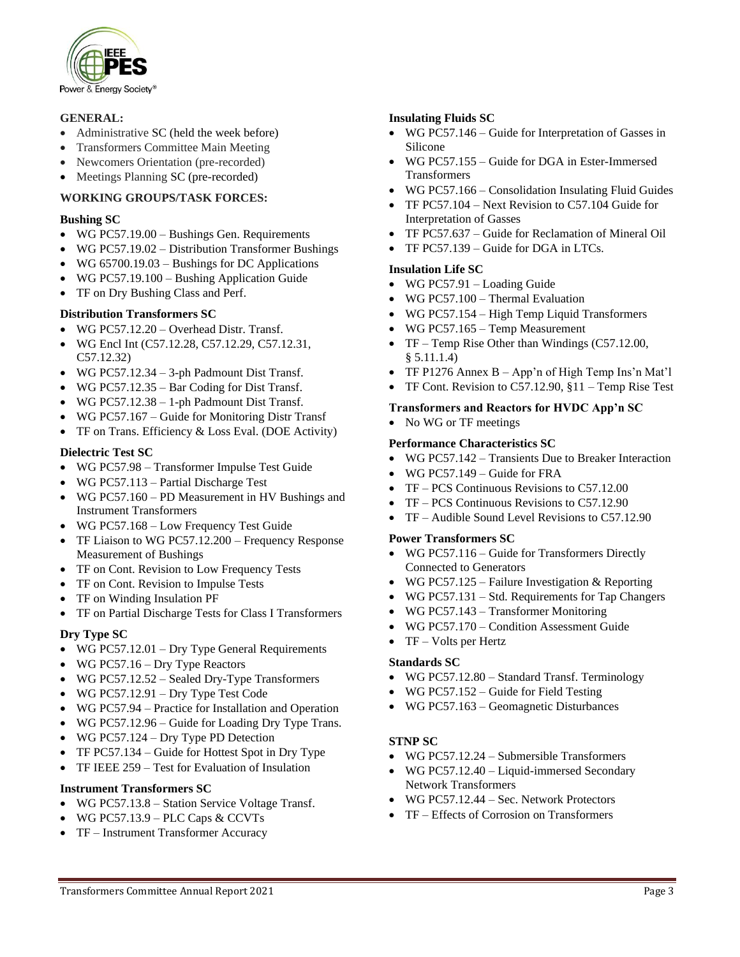

#### **GENERAL:**

- Administrative SC (held the week before)
- Transformers Committee Main Meeting
- Newcomers Orientation (pre-recorded)
- Meetings Planning SC (pre-recorded)

#### **WORKING GROUPS/TASK FORCES:**

#### **Bushing SC**

- WG PC57.19.00 Bushings Gen. Requirements
- WG PC57.19.02 Distribution Transformer Bushings
- WG 65700.19.03 Bushings for DC Applications
- WG PC57.19.100 Bushing Application Guide
- TF on Dry Bushing Class and Perf.

#### **Distribution Transformers SC**

- WG PC57.12.20 Overhead Distr. Transf.
- WG Encl Int (C57.12.28, C57.12.29, C57.12.31, C57.12.32)
- WG PC57.12.34 3-ph Padmount Dist Transf.
- WG PC57.12.35 Bar Coding for Dist Transf.
- WG PC57.12.38 1-ph Padmount Dist Transf.
- WG PC57.167 Guide for Monitoring Distr Transf
- TF on Trans. Efficiency & Loss Eval. (DOE Activity)

#### **Dielectric Test SC**

- WG PC57.98 Transformer Impulse Test Guide
- WG PC57.113 Partial Discharge Test
- WG PC57.160 PD Measurement in HV Bushings and Instrument Transformers
- WG PC57.168 Low Frequency Test Guide
- TF Liaison to WG PC57.12.200 Frequency Response Measurement of Bushings
- TF on Cont. Revision to Low Frequency Tests
- TF on Cont. Revision to Impulse Tests
- TF on Winding Insulation PF
- TF on Partial Discharge Tests for Class I Transformers

#### **Dry Type SC**

- WG PC57.12.01 Dry Type General Requirements
- WG PC57.16 Dry Type Reactors
- WG PC57.12.52 Sealed Dry-Type Transformers
- WG PC57.12.91 Dry Type Test Code
- WG PC57.94 Practice for Installation and Operation
- WG PC57.12.96 Guide for Loading Dry Type Trans.
- WG PC57.124 Dry Type PD Detection
- TF PC57.134 Guide for Hottest Spot in Dry Type
- TF IEEE 259 Test for Evaluation of Insulation

#### **Instrument Transformers SC**

- WG PC57.13.8 Station Service Voltage Transf.
- WG PC57.13.9 PLC Caps  $&$  CCVTs
- TF Instrument Transformer Accuracy

#### **Insulating Fluids SC**

- WG PC57.146 Guide for Interpretation of Gasses in Silicone
- WG PC57.155 Guide for DGA in Ester-Immersed Transformers
- WG PC57.166 Consolidation Insulating Fluid Guides
- TF PC57.104 Next Revision to C57.104 Guide for Interpretation of Gasses
- TF PC57.637 Guide for Reclamation of Mineral Oil
- TF PC57.139 Guide for DGA in LTCs.

#### **Insulation Life SC**

- WG PC57.91 Loading Guide
- WG PC57.100 Thermal Evaluation
- WG PC57.154 High Temp Liquid Transformers
- WG PC57.165 Temp Measurement
- TF Temp Rise Other than Windings (C57.12.00, § 5.11.1.4)
- TF P1276 Annex B App'n of High Temp Ins'n Mat'l
- TF Cont. Revision to C57.12.90, §11 Temp Rise Test

#### **Transformers and Reactors for HVDC App'n SC**

• No WG or TF meetings

#### **Performance Characteristics SC**

- WG PC57.142 Transients Due to Breaker Interaction
- WG PC57.149 Guide for FRA
- TF PCS Continuous Revisions to C57.12.00
- TF PCS Continuous Revisions to C57.12.90
- TF Audible Sound Level Revisions to C57.12.90

#### **Power Transformers SC**

- WG PC57.116 Guide for Transformers Directly Connected to Generators
- WG PC57.125 Failure Investigation  $&$  Reporting
- WG PC57.131 Std. Requirements for Tap Changers
- WG PC57.143 Transformer Monitoring
- WG PC57.170 Condition Assessment Guide
- TF Volts per Hertz

#### **Standards SC**

- WG PC57.12.80 Standard Transf. Terminology
- WG PC57.152 Guide for Field Testing
- WG PC57.163 Geomagnetic Disturbances

#### **STNP SC**

- WG PC57.12.24 Submersible Transformers
- WG PC57.12.40 Liquid-immersed Secondary Network Transformers
- WG PC57.12.44 Sec. Network Protectors
- TF Effects of Corrosion on Transformers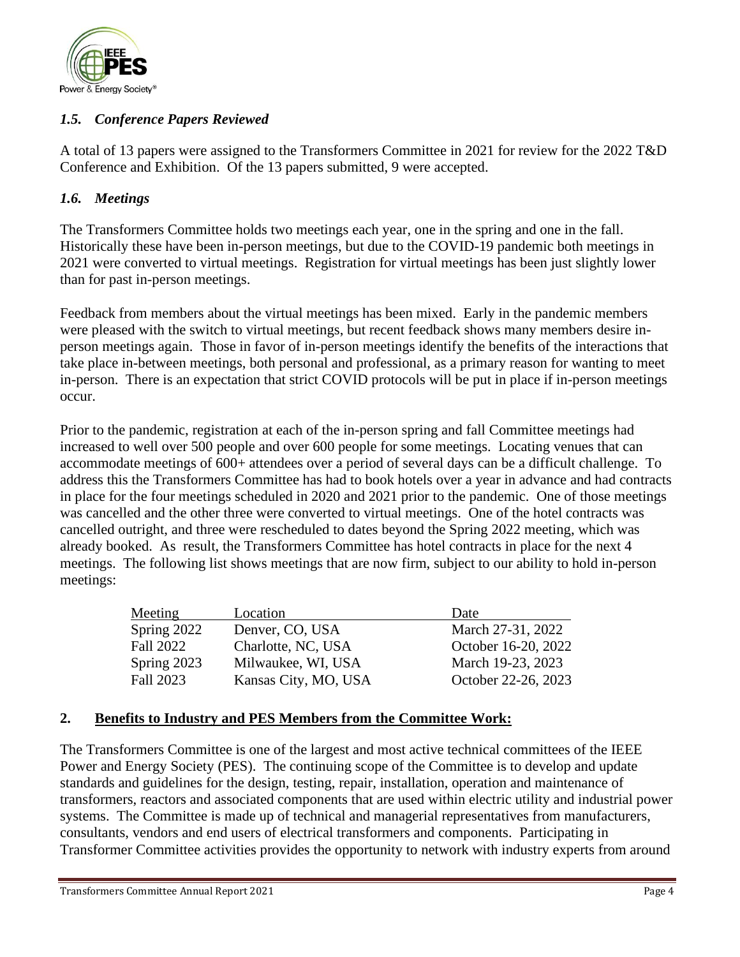

# *1.5. Conference Papers Reviewed*

A total of 13 papers were assigned to the Transformers Committee in 2021 for review for the 2022 T&D Conference and Exhibition. Of the 13 papers submitted, 9 were accepted.

# *1.6. Meetings*

The Transformers Committee holds two meetings each year, one in the spring and one in the fall. Historically these have been in-person meetings, but due to the COVID-19 pandemic both meetings in 2021 were converted to virtual meetings. Registration for virtual meetings has been just slightly lower than for past in-person meetings.

Feedback from members about the virtual meetings has been mixed. Early in the pandemic members were pleased with the switch to virtual meetings, but recent feedback shows many members desire inperson meetings again. Those in favor of in-person meetings identify the benefits of the interactions that take place in-between meetings, both personal and professional, as a primary reason for wanting to meet in-person. There is an expectation that strict COVID protocols will be put in place if in-person meetings occur.

Prior to the pandemic, registration at each of the in-person spring and fall Committee meetings had increased to well over 500 people and over 600 people for some meetings. Locating venues that can accommodate meetings of 600+ attendees over a period of several days can be a difficult challenge. To address this the Transformers Committee has had to book hotels over a year in advance and had contracts in place for the four meetings scheduled in 2020 and 2021 prior to the pandemic. One of those meetings was cancelled and the other three were converted to virtual meetings. One of the hotel contracts was cancelled outright, and three were rescheduled to dates beyond the Spring 2022 meeting, which was already booked. As result, the Transformers Committee has hotel contracts in place for the next 4 meetings. The following list shows meetings that are now firm, subject to our ability to hold in-person meetings:

| Meeting          | Location             | Date                |
|------------------|----------------------|---------------------|
| Spring 2022      | Denver, CO, USA      | March 27-31, 2022   |
| <b>Fall 2022</b> | Charlotte, NC, USA   | October 16-20, 2022 |
| Spring 2023      | Milwaukee, WI, USA   | March 19-23, 2023   |
| Fall 2023        | Kansas City, MO, USA | October 22-26, 2023 |

# **2. Benefits to Industry and PES Members from the Committee Work:**

The Transformers Committee is one of the largest and most active technical committees of the IEEE Power and Energy Society (PES). The continuing scope of the Committee is to develop and update standards and guidelines for the design, testing, repair, installation, operation and maintenance of transformers, reactors and associated components that are used within electric utility and industrial power systems. The Committee is made up of technical and managerial representatives from manufacturers, consultants, vendors and end users of electrical transformers and components. Participating in Transformer Committee activities provides the opportunity to network with industry experts from around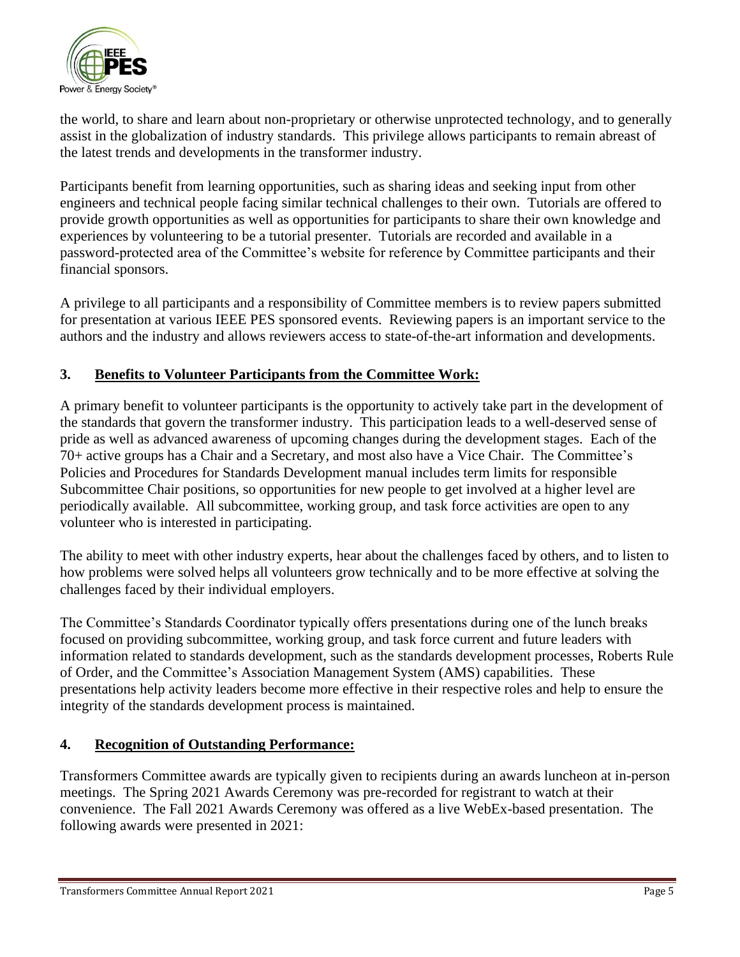

the world, to share and learn about non-proprietary or otherwise unprotected technology, and to generally assist in the globalization of industry standards. This privilege allows participants to remain abreast of the latest trends and developments in the transformer industry.

Participants benefit from learning opportunities, such as sharing ideas and seeking input from other engineers and technical people facing similar technical challenges to their own. Tutorials are offered to provide growth opportunities as well as opportunities for participants to share their own knowledge and experiences by volunteering to be a tutorial presenter. Tutorials are recorded and available in a password-protected area of the Committee's website for reference by Committee participants and their financial sponsors.

A privilege to all participants and a responsibility of Committee members is to review papers submitted for presentation at various IEEE PES sponsored events. Reviewing papers is an important service to the authors and the industry and allows reviewers access to state-of-the-art information and developments.

# **3. Benefits to Volunteer Participants from the Committee Work:**

A primary benefit to volunteer participants is the opportunity to actively take part in the development of the standards that govern the transformer industry. This participation leads to a well-deserved sense of pride as well as advanced awareness of upcoming changes during the development stages. Each of the 70+ active groups has a Chair and a Secretary, and most also have a Vice Chair. The Committee's Policies and Procedures for Standards Development manual includes term limits for responsible Subcommittee Chair positions, so opportunities for new people to get involved at a higher level are periodically available. All subcommittee, working group, and task force activities are open to any volunteer who is interested in participating.

The ability to meet with other industry experts, hear about the challenges faced by others, and to listen to how problems were solved helps all volunteers grow technically and to be more effective at solving the challenges faced by their individual employers.

The Committee's Standards Coordinator typically offers presentations during one of the lunch breaks focused on providing subcommittee, working group, and task force current and future leaders with information related to standards development, such as the standards development processes, Roberts Rule of Order, and the Committee's Association Management System (AMS) capabilities. These presentations help activity leaders become more effective in their respective roles and help to ensure the integrity of the standards development process is maintained.

# **4. Recognition of Outstanding Performance:**

Transformers Committee awards are typically given to recipients during an awards luncheon at in-person meetings. The Spring 2021 Awards Ceremony was pre-recorded for registrant to watch at their convenience. The Fall 2021 Awards Ceremony was offered as a live WebEx-based presentation. The following awards were presented in 2021: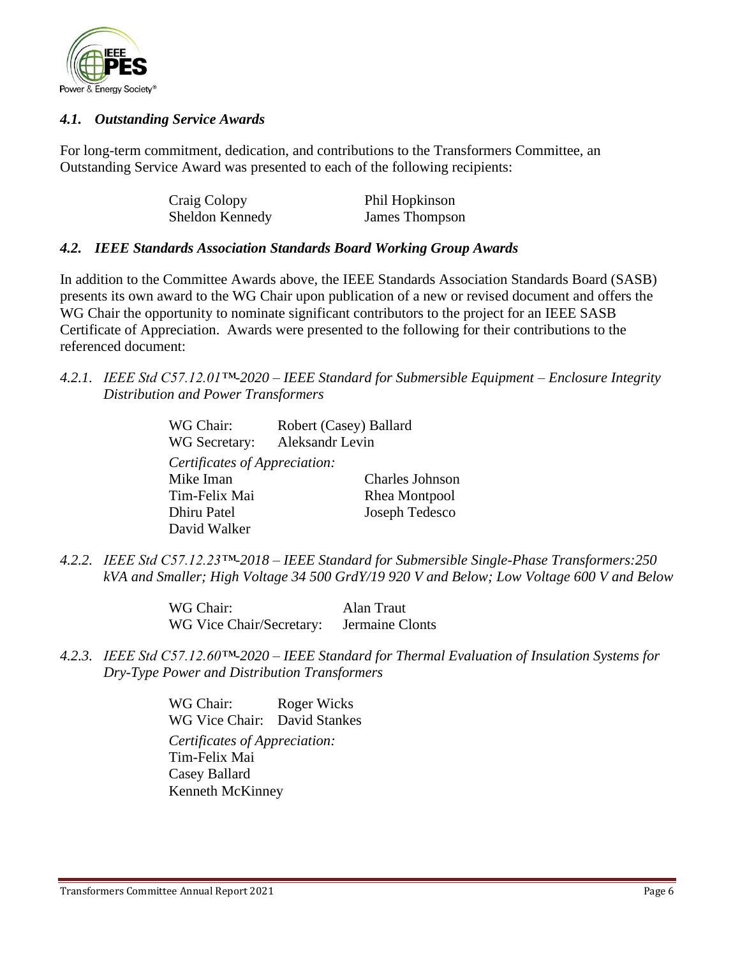

### *4.1. Outstanding Service Awards*

For long-term commitment, dedication, and contributions to the Transformers Committee, an Outstanding Service Award was presented to each of the following recipients:

| Craig Colopy    | Phil Hopkinson |
|-----------------|----------------|
| Sheldon Kennedy | James Thompson |

### *4.2. IEEE Standards Association Standards Board Working Group Awards*

In addition to the Committee Awards above, the IEEE Standards Association Standards Board (SASB) presents its own award to the WG Chair upon publication of a new or revised document and offers the WG Chair the opportunity to nominate significant contributors to the project for an IEEE SASB Certificate of Appreciation. Awards were presented to the following for their contributions to the referenced document:

*4.2.1. IEEE Std C57.12.01™-2020 – IEEE Standard for Submersible Equipment – Enclosure Integrity Distribution and Power Transformers* 

| WG Chair:                     | Robert (Casey) Ballard |
|-------------------------------|------------------------|
| WG Secretary:                 | Aleksandr Levin        |
| Certificates of Appreciation: |                        |
| Mike Iman                     | <b>Charles Johnson</b> |
| Tim-Felix Mai                 | Rhea Montpool          |
| Dhiru Patel                   | Joseph Tedesco         |
| David Walker                  |                        |

*4.2.2. IEEE Std C57.12.23™-2018 – IEEE Standard for Submersible Single-Phase Transformers:250 kVA and Smaller; High Voltage 34 500 GrdY/19 920 V and Below; Low Voltage 600 V and Below*

> WG Chair: Alan Traut WG Vice Chair/Secretary: Jermaine Clonts

*4.2.3. IEEE Std C57.12.60™-2020 – IEEE Standard for Thermal Evaluation of Insulation Systems for Dry-Type Power and Distribution Transformers* 

> WG Chair: Roger Wicks WG Vice Chair: David Stankes *Certificates of Appreciation:*  Tim-Felix Mai Casey Ballard Kenneth McKinney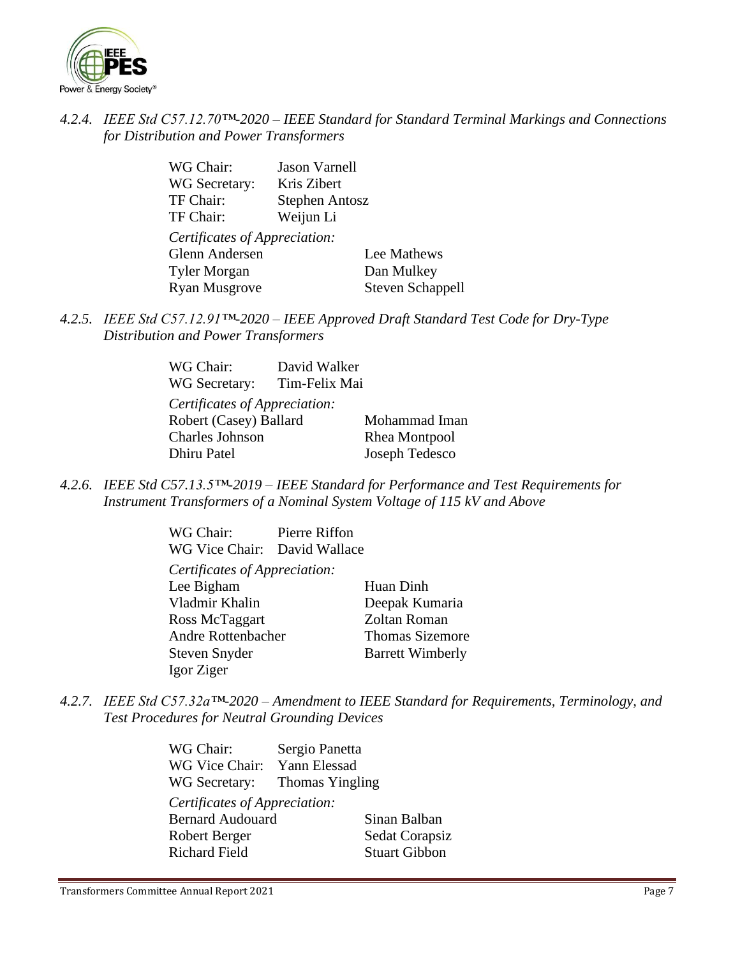

# *4.2.4. IEEE Std C57.12.70™-2020 – IEEE Standard for Standard Terminal Markings and Connections for Distribution and Power Transformers*

| WG Chair:                     | <b>Jason Varnell</b>  |                         |
|-------------------------------|-----------------------|-------------------------|
| WG Secretary:                 | Kris Zibert           |                         |
| TF Chair:                     | <b>Stephen Antosz</b> |                         |
| TF Chair:                     | Weijun Li             |                         |
| Certificates of Appreciation: |                       |                         |
| Glenn Andersen                |                       | Lee Mathews             |
| <b>Tyler Morgan</b>           |                       | Dan Mulkey              |
| <b>Ryan Musgrove</b>          |                       | <b>Steven Schappell</b> |
|                               |                       |                         |

*4.2.5. IEEE Std C57.12.91™-2020 – IEEE Approved Draft Standard Test Code for Dry-Type Distribution and Power Transformers*

| WG Chair:                     | David Walker  |                |
|-------------------------------|---------------|----------------|
| WG Secretary:                 | Tim-Felix Mai |                |
| Certificates of Appreciation: |               |                |
| Robert (Casey) Ballard        |               | Mohammad Iman  |
| Charles Johnson               |               | Rhea Montpool  |
| Dhiru Patel                   |               | Joseph Tedesco |

*4.2.6. IEEE Std C57.13.5™-2019 – IEEE Standard for Performance and Test Requirements for Instrument Transformers of a Nominal System Voltage of 115 kV and Above* 

> WG Chair: Pierre Riffon WG Vice Chair: David Wallace

| Certificates of Appreciation: |                         |
|-------------------------------|-------------------------|
| Lee Bigham                    | Huan Dinh               |
| Vladmir Khalin                | Deepak Kumaria          |
| Ross McTaggart                | Zoltan Roman            |
| <b>Andre Rottenbacher</b>     | <b>Thomas Sizemore</b>  |
| Steven Snyder                 | <b>Barrett Wimberly</b> |
| Igor Ziger                    |                         |

*4.2.7. IEEE Std C57.32a™-2020 – Amendment to IEEE Standard for Requirements, Terminology, and Test Procedures for Neutral Grounding Devices* 

> WG Chair: Sergio Panetta WG Vice Chair: Yann Elessad WG Secretary: Thomas Yingling *Certificates of Appreciation:*  Bernard Audouard Sinan Balban Robert Berger Sedat Corapsiz Richard Field Stuart Gibbon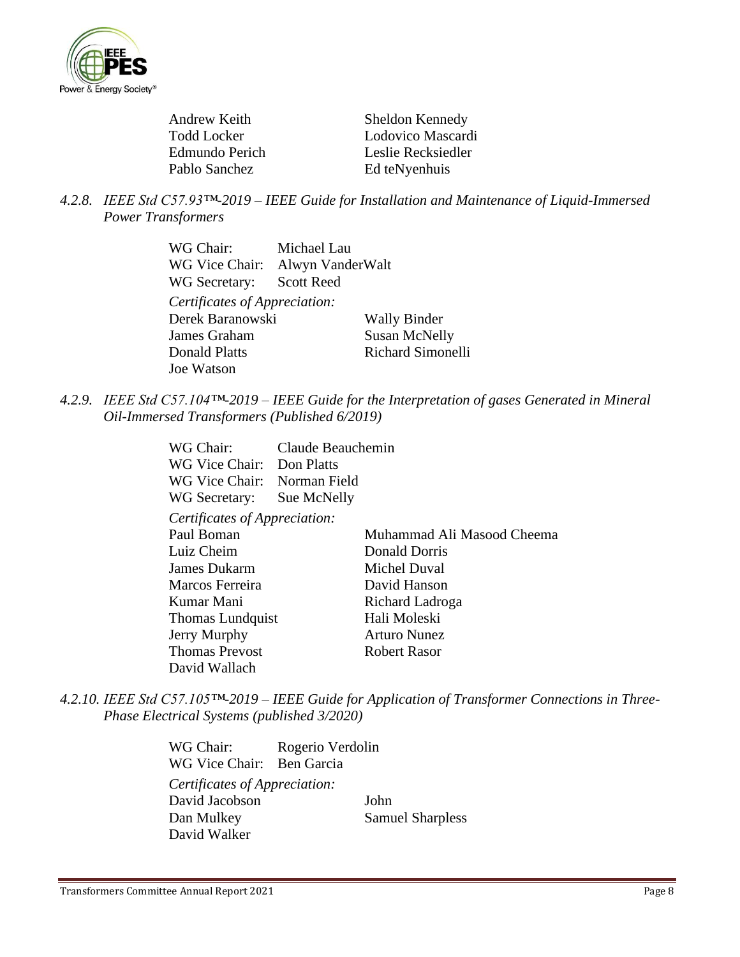

| Sheldon Kennedy    |
|--------------------|
| Lodovico Mascardi  |
| Leslie Recksiedler |
|                    |
| Ed teNyenhuis      |

*4.2.8. IEEE Std C57.93™-2019 – IEEE Guide for Installation and Maintenance of Liquid-Immersed Power Transformers* 

| WG Chair:                     | Michael Lau              |
|-------------------------------|--------------------------|
| WG Vice Chair:                | Alwyn VanderWalt         |
| WG Secretary: Scott Reed      |                          |
| Certificates of Appreciation: |                          |
| Derek Baranowski              | <b>Wally Binder</b>      |
| James Graham                  | <b>Susan McNelly</b>     |
| <b>Donald Platts</b>          | <b>Richard Simonelli</b> |
| Joe Watson                    |                          |

*4.2.9. IEEE Std C57.104™-2019 – IEEE Guide for the Interpretation of gases Generated in Mineral Oil-Immersed Transformers (Published 6/2019)*

| WG Chair:                     | Claude Beauchemin |                            |
|-------------------------------|-------------------|----------------------------|
| WG Vice Chair:                | Don Platts        |                            |
| WG Vice Chair:                | Norman Field      |                            |
| WG Secretary:                 | Sue McNelly       |                            |
| Certificates of Appreciation: |                   |                            |
| Paul Boman                    |                   | Muhammad Ali Masood Cheema |
| Luiz Cheim                    |                   | Donald Dorris              |
| James Dukarm                  |                   | Michel Duval               |
| Marcos Ferreira               |                   | David Hanson               |
| Kumar Mani                    |                   | Richard Ladroga            |
| Thomas Lundquist              |                   | Hali Moleski               |
| Jerry Murphy                  |                   | <b>Arturo Nunez</b>        |
| <b>Thomas Prevost</b>         |                   | Robert Rasor               |
| David Wallach                 |                   |                            |

*4.2.10. IEEE Std C57.105™-2019 – IEEE Guide for Application of Transformer Connections in Three-Phase Electrical Systems (published 3/2020)*

> WG Chair: Rogerio Verdolin WG Vice Chair: Ben Garcia *Certificates of Appreciation:*  David Jacobson John Dan Mulkey Samuel Sharpless David Walker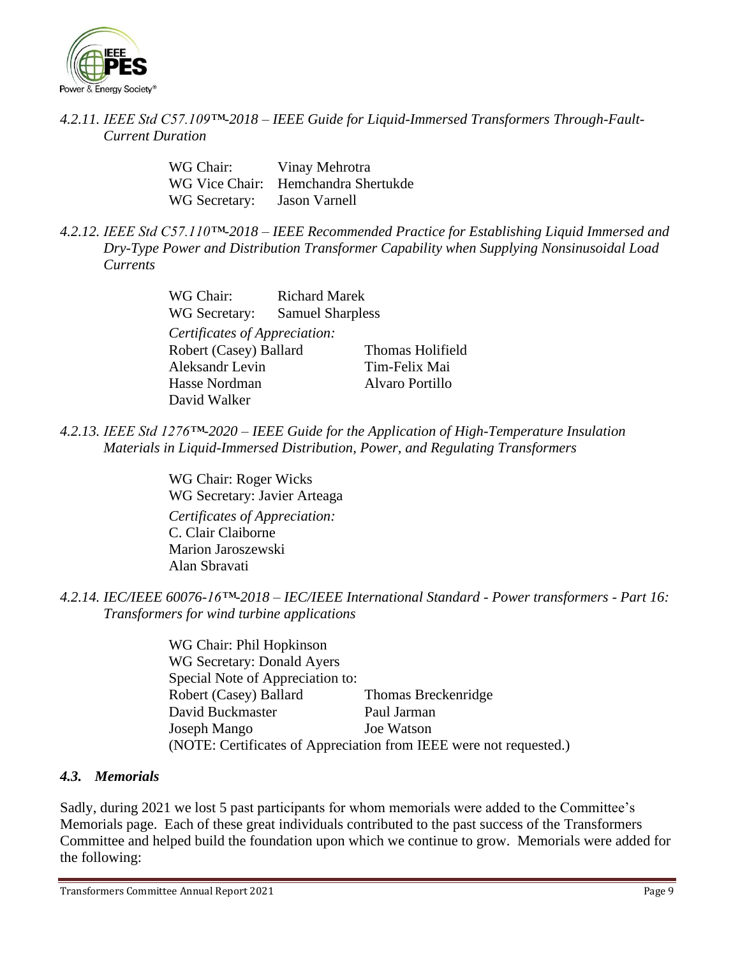

*4.2.11. IEEE Std C57.109™-2018 – IEEE Guide for Liquid-Immersed Transformers Through-Fault-Current Duration* 

| WG Chair:     | Vinay Mehrotra                      |
|---------------|-------------------------------------|
|               | WG Vice Chair: Hemchandra Shertukde |
| WG Secretary: | <b>Jason Varnell</b>                |

*4.2.12. IEEE Std C57.110™-2018 – IEEE Recommended Practice for Establishing Liquid Immersed and Dry-Type Power and Distribution Transformer Capability when Supplying Nonsinusoidal Load Currents* 

| WG Chair:                     | <b>Richard Marek</b>           |                  |  |
|-------------------------------|--------------------------------|------------------|--|
|                               | WG Secretary: Samuel Sharpless |                  |  |
| Certificates of Appreciation: |                                |                  |  |
| Robert (Casey) Ballard        |                                | Thomas Holifield |  |
| Aleksandr Levin               |                                | Tim-Felix Mai    |  |
| Hasse Nordman                 |                                | Alvaro Portillo  |  |
| David Walker                  |                                |                  |  |

*4.2.13. IEEE Std 1276™-2020 – IEEE Guide for the Application of High-Temperature Insulation Materials in Liquid-Immersed Distribution, Power, and Regulating Transformers* 

> WG Chair: Roger Wicks WG Secretary: Javier Arteaga *Certificates of Appreciation:*  C. Clair Claiborne Marion Jaroszewski Alan Sbravati

*4.2.14. IEC/IEEE 60076-16™-2018 – IEC/IEEE International Standard - Power transformers - Part 16: Transformers for wind turbine applications* 

> WG Chair: Phil Hopkinson WG Secretary: Donald Ayers Special Note of Appreciation to: Robert (Casey) Ballard Thomas Breckenridge David Buckmaster Paul Jarman Joseph Mango Joe Watson (NOTE: Certificates of Appreciation from IEEE were not requested.)

### *4.3. Memorials*

Sadly, during 2021 we lost 5 past participants for whom memorials were added to the Committee's Memorials page. Each of these great individuals contributed to the past success of the Transformers Committee and helped build the foundation upon which we continue to grow. Memorials were added for the following:

Transformers Committee Annual Report 2021 **Page 9** and the set of the set of the set of the set of the set of the set of the set of the set of the set of the set of the set of the set of the set of the set of the set of th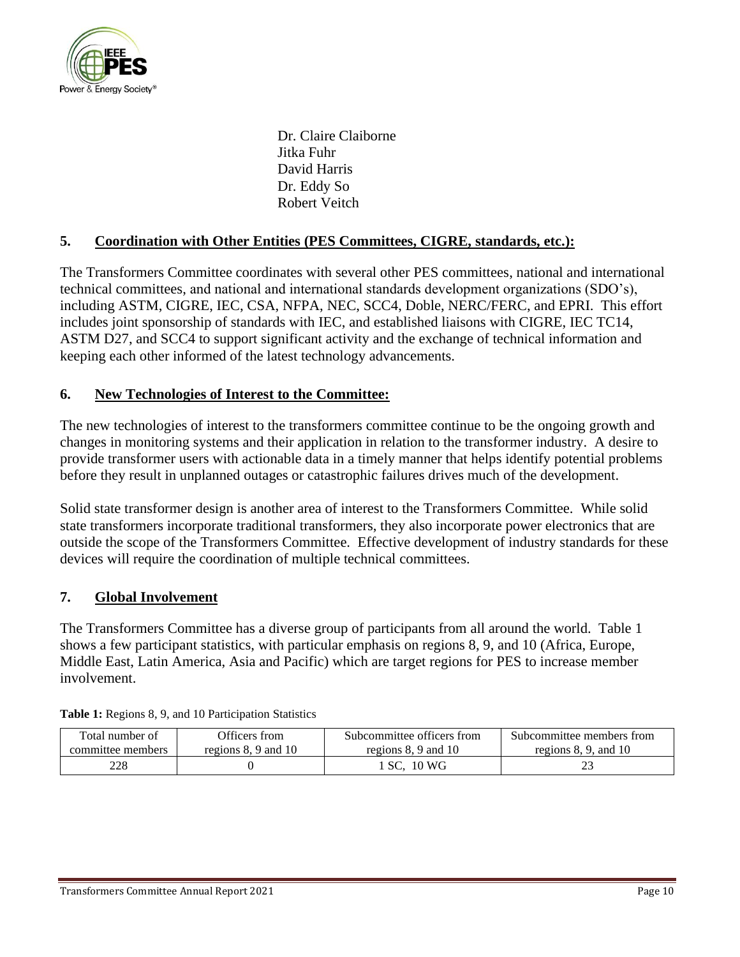

Dr. Claire Claiborne Jitka Fuhr David Harris Dr. Eddy So Robert Veitch

# **5. Coordination with Other Entities (PES Committees, CIGRE, standards, etc.):**

The Transformers Committee coordinates with several other PES committees, national and international technical committees, and national and international standards development organizations (SDO's), including ASTM, CIGRE, IEC, CSA, NFPA, NEC, SCC4, Doble, NERC/FERC, and EPRI. This effort includes joint sponsorship of standards with IEC, and established liaisons with CIGRE, IEC TC14, ASTM D27, and SCC4 to support significant activity and the exchange of technical information and keeping each other informed of the latest technology advancements.

### **6. New Technologies of Interest to the Committee:**

The new technologies of interest to the transformers committee continue to be the ongoing growth and changes in monitoring systems and their application in relation to the transformer industry. A desire to provide transformer users with actionable data in a timely manner that helps identify potential problems before they result in unplanned outages or catastrophic failures drives much of the development.

Solid state transformer design is another area of interest to the Transformers Committee. While solid state transformers incorporate traditional transformers, they also incorporate power electronics that are outside the scope of the Transformers Committee. Effective development of industry standards for these devices will require the coordination of multiple technical committees.

### **7. Global Involvement**

The Transformers Committee has a diverse group of participants from all around the world. Table 1 shows a few participant statistics, with particular emphasis on regions 8, 9, and 10 (Africa, Europe, Middle East, Latin America, Asia and Pacific) which are target regions for PES to increase member involvement.

| Total number of   | Officers from          | Subcommittee officers from | Subcommittee members from |
|-------------------|------------------------|----------------------------|---------------------------|
| committee members | regions $8.9$ and $10$ | regions 8, 9 and 10        | regions $8, 9$ , and $10$ |
| 228               |                        | SC. 10 WG                  | 43                        |

|  | <b>Table 1:</b> Regions 8, 9, and 10 Participation Statistics |  |
|--|---------------------------------------------------------------|--|
|  |                                                               |  |